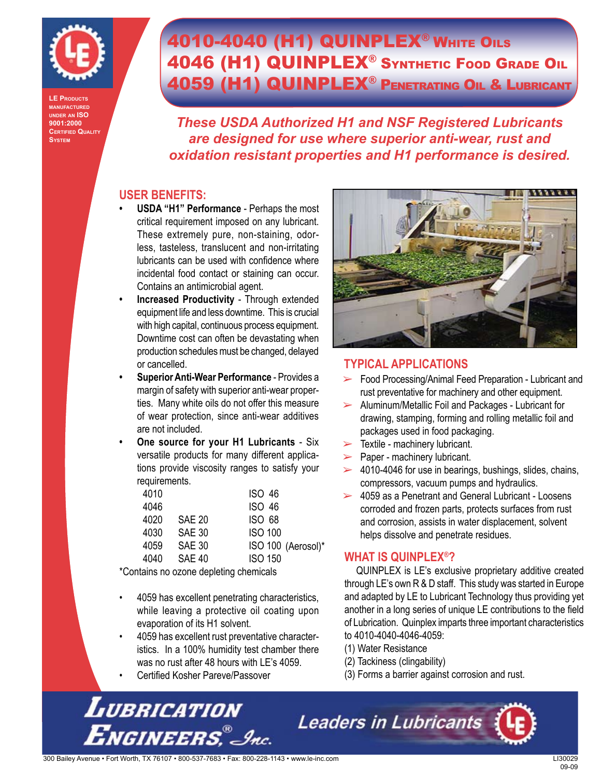

**LE Products manufactured under an ISO 9001:2000 Certified Quality System**

## **4010-4040 (H1) QUINPLEX<sup>®</sup> WHITE OILS** 4046 (H1) QUINPLEX® Synthetic Food Grade Oil 4059 (H1) QUINPLEX® Penetrating Oil & Lubricant

*These USDA Authorized H1 and NSF Registered Lubricants are designed for use where superior anti-wear, rust and oxidation resistant properties and H1 performance is desired.*

#### **USER BENEFITS:**

- **USDA "H1" Performance**  Perhaps the most critical requirement imposed on any lubricant. These extremely pure, non-staining, odorless, tasteless, translucent and non-irritating lubricants can be used with confidence where incidental food contact or staining can occur. Contains an antimicrobial agent. **•**
- **Increased Productivity**  Through extended equipment life and less downtime. This is crucial with high capital, continuous process equipment. Downtime cost can often be devastating when production schedules must be changed, delayed or cancelled. **•**
- **Superior Anti-Wear Performance** Provides a margin of safety with superior anti-wear properties. Many white oils do not offer this measure of wear protection, since anti-wear additives are not included. **•**
- **One source for your H1 Lubricants**  Six versatile products for many different applications provide viscosity ranges to satisfy your requirements. **•**

| 4010 |               | <b>ISO 46</b>      |
|------|---------------|--------------------|
| 4046 |               | <b>ISO 46</b>      |
| 4020 | SAE 20        | <b>ISO 68</b>      |
| 4030 | SAE 30        | <b>ISO 100</b>     |
| 4059 | SAE 30        | ISO 100 (Aerosol)* |
| 4040 | <b>SAE 40</b> | <b>ISO 150</b>     |

\*Contains no ozone depleting chemicals

- 4059 has excellent penetrating characteristics, while leaving a protective oil coating upon evaporation of its H1 solvent. •
- 4059 has excellent rust preventative characteristics. In a 100% humidity test chamber there was no rust after 48 hours with LE's 4059. •
- Certified Kosher Pareve/Passover •



#### **TYPICAL APPLICATIONS**

- ► Food Processing/Animal Feed Preparation Lubricant and rust preventative for machinery and other equipment.
- $\triangleright$  Aluminum/Metallic Foil and Packages Lubricant for drawing, stamping, forming and rolling metallic foil and packages used in food packaging.
- $\triangleright$  Textile machinery lubricant.
- $\blacktriangleright$  Paper machinery lubricant.
- $\geq$  4010-4046 for use in bearings, bushings, slides, chains, compressors, vacuum pumps and hydraulics.
- $\geq$  4059 as a Penetrant and General Lubricant Loosens corroded and frozen parts, protects surfaces from rust and corrosion, assists in water displacement, solvent helps dissolve and penetrate residues.

#### **WHAT IS QUINPLEX®?**

QUINPLEX is LE's exclusive proprietary additive created through LE's own R & D staff. This study was started in Europe and adapted by LE to Lubricant Technology thus providing yet another in a long series of unique LE contributions to the field of Lubrication. Quinplex imparts three important characteristics to 4010-4040-4046-4059:

- (1) Water Resistance
- (2) Tackiness (clingability)
- (3) Forms a barrier against corrosion and rust.